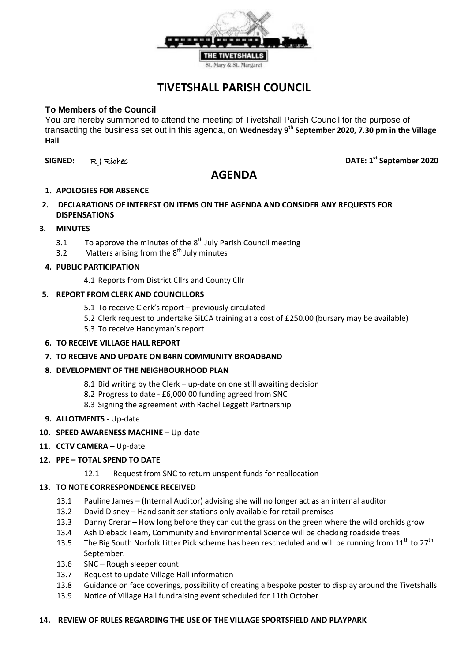

# **TIVETSHALL PARISH COUNCIL**

## **To Members of the Council**

You are hereby summoned to attend the meeting of Tivetshall Parish Council for the purpose of transacting the business set out in this agenda, on **Wednesday 9 th September 2020, 7.30 pm in the Village Hall**

**SIGNED:** R J Riches **DATE: 1st September 2020**

# **AGENDA**

#### **1. APOLOGIES FOR ABSENCE**

**2. DECLARATIONS OF INTEREST ON ITEMS ON THE AGENDA AND CONSIDER ANY REQUESTS FOR DISPENSATIONS**

## **3. MINUTES**

- 3.1 To approve the minutes of the  $8<sup>th</sup>$  July Parish Council meeting
- 3.2 Matters arising from the  $8<sup>th</sup>$  July minutes

#### **4. PUBLIC PARTICIPATION**

4.1 Reports from District Cllrs and County Cllr

## **5. REPORT FROM CLERK AND COUNCILLORS**

- 5.1 To receive Clerk's report previously circulated
- 5.2 Clerk request to undertake SiLCA training at a cost of £250.00 (bursary may be available)
- 5.3 To receive Handyman's report
- **6. TO RECEIVE VILLAGE HALL REPORT**
- **7. TO RECEIVE AND UPDATE ON B4RN COMMUNITY BROADBAND**

## **8. DEVELOPMENT OF THE NEIGHBOURHOOD PLAN**

- 8.1 Bid writing by the Clerk up-date on one still awaiting decision
- 8.2 Progress to date £6,000.00 funding agreed from SNC
- 8.3 Signing the agreement with Rachel Leggett Partnership
- **9. ALLOTMENTS -** Up-date
- **10. SPEED AWARENESS MACHINE –** Up-date
- 11. **CCTV CAMERA -** Up-date

## **12. PPE – TOTAL SPEND TO DATE**

12.1 Request from SNC to return unspent funds for reallocation

#### **13. TO NOTE CORRESPONDENCE RECEIVED**

- 13.1 Pauline James (Internal Auditor) advising she will no longer act as an internal auditor
- 13.2 David Disney Hand sanitiser stations only available for retail premises
- 13.3 Danny Crerar How long before they can cut the grass on the green where the wild orchids grow
- 13.4 Ash Dieback Team, Community and Environmental Science will be checking roadside trees
- 13.5 The Big South Norfolk Litter Pick scheme has been rescheduled and will be running from 11<sup>th</sup> to 27<sup>th</sup> September.
- 13.6 SNC Rough sleeper count
- 13.7 Request to update Village Hall information
- 13.8 Guidance on face coverings, possibility of creating a bespoke poster to display around the Tivetshalls
- 13.9 Notice of Village Hall fundraising event scheduled for 11th October

#### **14. REVIEW OF RULES REGARDING THE USE OF THE VILLAGE SPORTSFIELD AND PLAYPARK**